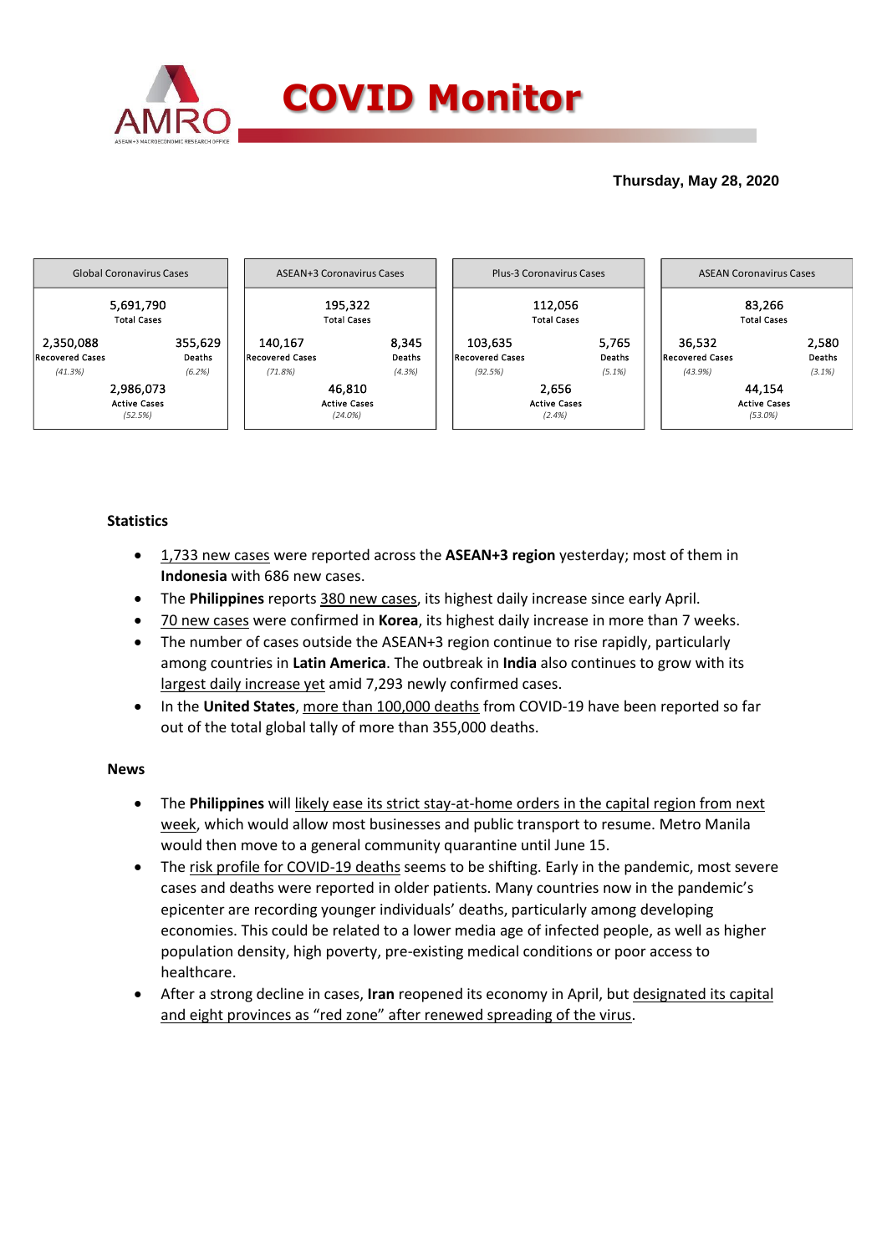

# **Thursday, May 28, 2020**



# **Statistics**

- 1,733 new cases were reported across the **ASEAN+3 region** yesterday; most of them in **Indonesia** with 686 new cases.
- The **Philippines** reports 380 new cases, its highest daily increase since early April.
- 70 new cases were confirmed in **Korea**, its highest daily increase in more than 7 weeks.
- The number of cases outside the ASEAN+3 region continue to rise rapidly, particularly among countries in **Latin America**. The outbreak in **India** also continues to grow with its largest daily increase yet amid 7,293 newly confirmed cases.
- In the **United States**, more than 100,000 deaths from COVID-19 have been reported so far out of the total global tally of more than 355,000 deaths.

### **News**

- The **Philippines** will likely ease its strict stay-at-home orders in the capital region from next week, which would allow most businesses and public transport to resume. Metro Manila would then move to a general community quarantine until June 15.
- The risk profile for COVID-19 deaths seems to be shifting. Early in the pandemic, most severe cases and deaths were reported in older patients. Many countries now in the pandemic's epicenter are recording younger individuals' deaths, particularly among developing economies. This could be related to a lower media age of infected people, as well as higher population density, high poverty, pre-existing medical conditions or poor access to healthcare.
- After a strong decline in cases, **Iran** reopened its economy in April, but designated its capital and eight provinces as "red zone" after renewed spreading of the virus.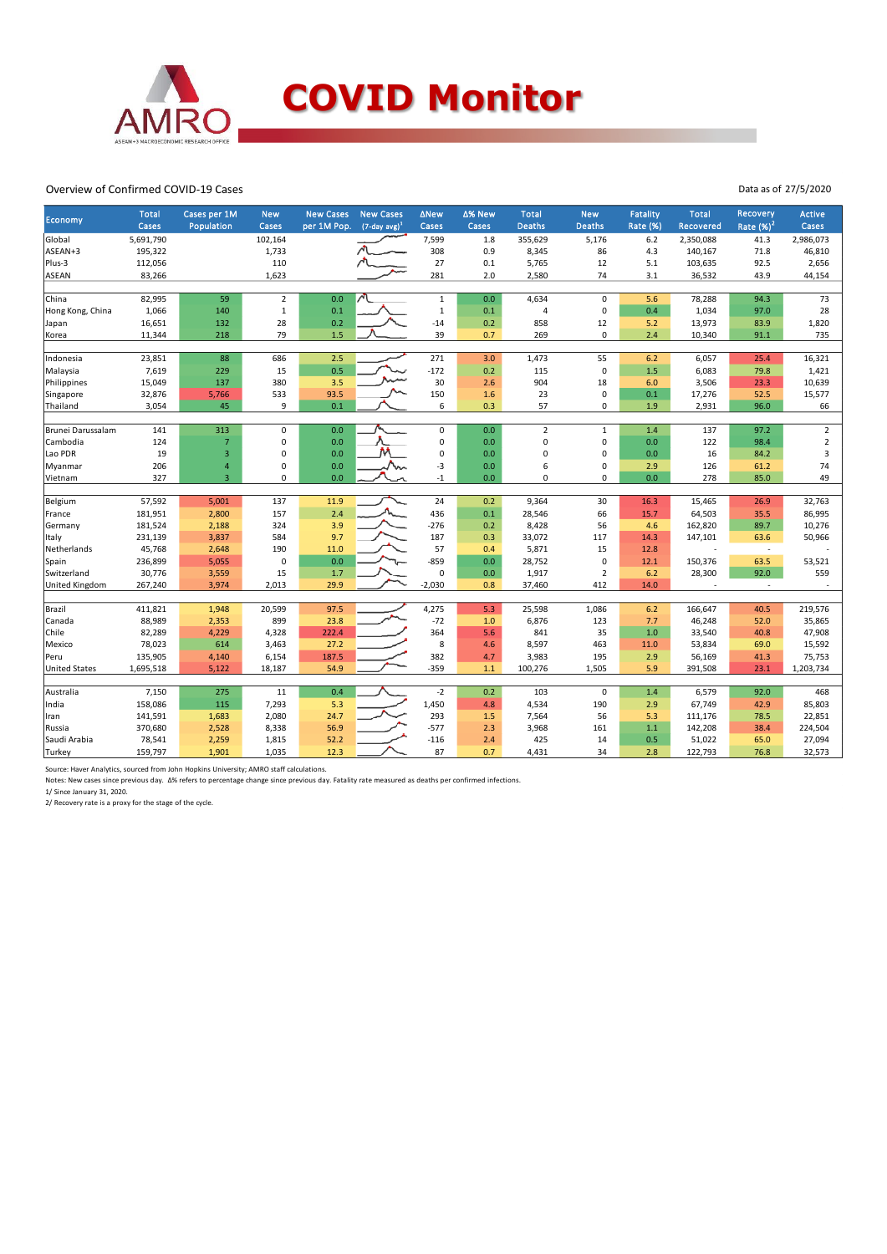

#### Overview of Confirmed COVID-19 Cases

| Economy              | <b>Total</b><br>Cases | Cases per 1M<br>Population | <b>New</b><br>Cases | <b>New Cases</b><br>per 1M Pop. | <b>New Cases</b><br>$(7$ -day avg) <sup>1</sup> | <b>ANew</b><br>Cases | ∆% New<br>Cases | <b>Total</b><br><b>Deaths</b> | <b>New</b><br><b>Deaths</b> | <b>Fatality</b><br><b>Rate (%)</b> | <b>Total</b><br>Recovered | Recovery<br>Rate $(\%)^2$ | <b>Active</b><br>Cases |
|----------------------|-----------------------|----------------------------|---------------------|---------------------------------|-------------------------------------------------|----------------------|-----------------|-------------------------------|-----------------------------|------------------------------------|---------------------------|---------------------------|------------------------|
| Global               | 5,691,790             |                            | 102,164             |                                 |                                                 | 7,599                | 1.8             | 355,629                       | 5,176                       | 6.2                                | 2,350,088                 | 41.3                      | 2,986,073              |
| ASEAN+3              | 195,322               |                            | 1,733               |                                 |                                                 | 308                  | 0.9             | 8,345                         | 86                          | 4.3                                | 140,167                   | 71.8                      | 46,810                 |
| Plus-3               | 112,056               |                            | 110                 |                                 |                                                 | 27                   | 0.1             | 5,765                         | 12                          | 5.1                                | 103,635                   | 92.5                      | 2,656                  |
| <b>ASEAN</b>         | 83,266                |                            | 1,623               |                                 |                                                 | 281                  | 2.0             | 2,580                         | 74                          | 3.1                                | 36,532                    | 43.9                      | 44,154                 |
|                      |                       |                            |                     |                                 |                                                 |                      |                 |                               |                             |                                    |                           |                           |                        |
| China                | 82,995                | 59                         | $\overline{2}$      | 0.0                             |                                                 | $\mathbf 1$          | 0.0             | 4,634                         | $\mathsf 0$                 | 5.6                                | 78,288                    | 94.3                      | 73                     |
| Hong Kong, China     | 1,066                 | 140                        | $\mathbf{1}$        | 0.1                             |                                                 | $\mathbf{1}$         | 0.1             | 4                             | $\mathsf 0$                 | 0.4                                | 1,034                     | 97.0                      | 28                     |
| Japan                | 16,651                | 132                        | 28                  | 0.2                             |                                                 | $-14$                | 0.2             | 858                           | 12                          | 5.2                                | 13,973                    | 83.9                      | 1,820                  |
| Korea                | 11,344                | 218                        | 79                  | 1.5                             |                                                 | 39                   | 0.7             | 269                           | 0                           | 2.4                                | 10,340                    | 91.1                      | 735                    |
|                      | 23,851                | 88                         |                     | 2.5                             |                                                 | 271                  | 3.0             |                               | 55                          | 6.2                                |                           |                           | 16,321                 |
| Indonesia            | 7,619                 | 229                        | 686                 | 0.5                             |                                                 | $-172$               |                 | 1,473<br>115                  | $\mathsf 0$                 | 1.5                                | 6,057<br>6,083            | 25.4<br>79.8              | 1,421                  |
| Malaysia             |                       |                            | 15                  |                                 |                                                 |                      | 0.2             |                               |                             |                                    |                           |                           |                        |
| Philippines          | 15,049                | 137                        | 380                 | 3.5                             |                                                 | 30                   | 2.6             | 904                           | 18                          | 6.0                                | 3,506                     | 23.3                      | 10,639                 |
| Singapore            | 32,876                | 5,766                      | 533                 | 93.5                            |                                                 | 150                  | 1.6             | 23                            | $\mathsf 0$                 | 0.1                                | 17,276                    | 52.5                      | 15,577                 |
| Thailand             | 3,054                 | 45                         | 9                   | 0.1                             |                                                 | 6                    | 0.3             | 57                            | 0                           | 1.9                                | 2,931                     | 96.0                      | 66                     |
| Brunei Darussalam    | 141                   | 313                        | $\mathbf 0$         | 0.0                             |                                                 | $\pmb{0}$            | 0.0             | $\overline{2}$                | $\mathbf{1}$                | 1.4                                | 137                       | 97.2                      | $\overline{2}$         |
| Cambodia             | 124                   | $\overline{7}$             | 0                   | 0.0                             |                                                 | 0                    | 0.0             | 0                             | $\mathsf 0$                 | 0.0                                | 122                       | 98.4                      | $\overline{2}$         |
| Lao PDR              | 19                    | $\overline{3}$             | $\Omega$            | 0.0                             |                                                 | $\Omega$             | 0.0             | 0                             | 0                           | 0.0                                | 16                        | 84.2                      | 3                      |
| Myanmar              | 206                   | $\overline{4}$             | $\mathbf 0$         | 0.0                             |                                                 | $-3$                 | 0.0             | 6                             | 0                           | 2.9                                | 126                       | 61.2                      | 74                     |
| Vietnam              | 327                   | $\overline{3}$             | $\Omega$            | 0.0                             |                                                 | $-1$                 | 0.0             | 0                             | $\Omega$                    | 0.0                                | 278                       | 85.0                      | 49                     |
|                      |                       |                            |                     |                                 |                                                 |                      |                 |                               |                             |                                    |                           |                           |                        |
| Belgium              | 57,592                | 5,001                      | 137                 | 11.9                            |                                                 | 24                   | 0.2             | 9,364                         | 30                          | 16.3                               | 15,465                    | 26.9                      | 32,763                 |
| France               | 181,951               | 2,800                      | 157                 | 2.4                             |                                                 | 436                  | 0.1             | 28,546                        | 66                          | 15.7                               | 64,503                    | 35.5                      | 86,995                 |
| Germany              | 181,524               | 2,188                      | 324                 | 3.9                             |                                                 | $-276$               | 0.2             | 8,428                         | 56                          | 4.6                                | 162,820                   | 89.7                      | 10,276                 |
| Italy                | 231,139               | 3,837                      | 584                 | 9.7                             |                                                 | 187                  | 0.3             | 33,072                        | 117                         | 14.3                               | 147,101                   | 63.6                      | 50,966                 |
| Netherlands          | 45,768                | 2,648                      | 190                 | 11.0                            |                                                 | 57                   | 0.4             | 5,871                         | 15                          | 12.8                               |                           | $\sim$                    |                        |
| Spain                | 236,899               | 5,055                      | $\pmb{0}$           | 0.0                             |                                                 | $-859$               | 0.0             | 28,752                        | 0                           | 12.1                               | 150,376                   | 63.5                      | 53,521                 |
| Switzerland          | 30,776                | 3,559                      | 15                  | 1.7                             |                                                 | $\mathbf 0$          | 0.0             | 1,917                         | $\overline{2}$              | 6.2                                | 28,300                    | 92.0                      | 559                    |
| United Kingdom       | 267,240               | 3,974                      | 2,013               | 29.9                            |                                                 | $-2,030$             | 0.8             | 37,460                        | 412                         | 14.0                               |                           |                           |                        |
|                      |                       |                            |                     |                                 |                                                 |                      |                 |                               |                             |                                    |                           |                           |                        |
| Brazil               | 411,821               | 1,948                      | 20,599              | 97.5                            |                                                 | 4,275                | 5.3             | 25,598                        | 1,086                       | 6.2                                | 166,647                   | 40.5                      | 219,576                |
| Canada               | 88,989                | 2,353                      | 899                 | 23.8                            |                                                 | $-72$                | 1.0             | 6,876                         | 123                         | 7.7                                | 46,248                    | 52.0                      | 35,865                 |
| Chile                | 82,289                | 4,229                      | 4,328               | 222.4                           |                                                 | 364                  | 5.6             | 841                           | 35                          | 1.0                                | 33,540                    | 40.8                      | 47,908                 |
| Mexico               | 78,023                | 614                        | 3,463               | 27.2                            |                                                 | 8                    | 4.6             | 8,597                         | 463                         | 11.0                               | 53,834                    | 69.0                      | 15,592                 |
| Peru                 | 135,905               | 4,140                      | 6,154               | 187.5                           |                                                 | 382                  | 4.7             | 3,983                         | 195                         | 2.9                                | 56,169                    | 41.3                      | 75,753                 |
| <b>United States</b> | 1,695,518             | 5,122                      | 18,187              | 54.9                            |                                                 | $-359$               | 1.1             | 100,276                       | 1,505                       | 5.9                                | 391,508                   | 23.1                      | 1,203,734              |
| Australia            | 7,150                 | 275                        | 11                  | 0.4                             |                                                 | $-2$                 | 0.2             | 103                           | $\mathsf 0$                 | 1.4                                | 6,579                     | 92.0                      | 468                    |
| India                | 158,086               | 115                        | 7,293               | 5.3                             |                                                 | 1,450                | 4.8             | 4,534                         | 190                         | 2.9                                | 67,749                    | 42.9                      | 85,803                 |
| Iran                 | 141,591               | 1,683                      | 2,080               | 24.7                            |                                                 | 293                  | 1.5             | 7,564                         | 56                          | 5.3                                | 111,176                   | 78.5                      | 22,851                 |
| Russia               | 370,680               | 2,528                      | 8,338               | 56.9                            |                                                 | $-577$               | 2.3             | 3,968                         | 161                         | 1.1                                | 142,208                   | 38.4                      | 224,504                |
| Saudi Arabia         | 78,541                | 2,259                      | 1,815               | 52.2                            |                                                 | $-116$               | 2.4             | 425                           | 14                          | 0.5                                | 51,022                    | 65.0                      | 27,094                 |
|                      |                       |                            |                     | 12.3                            |                                                 | 87                   | 0.7             |                               | 34                          | 2.8                                |                           | 76.8                      |                        |
| Turkey               | 159,797               | 1,901                      | 1,035               |                                 |                                                 |                      |                 | 4,431                         |                             |                                    | 122,793                   |                           | 32,573                 |

Source: Haver Analytics, sourced from John Hopkins University; AMRO staff calculations.

Notes: New cases since previous day. Δ% refers to percentage change since previous day. Fatality rate measured as deaths per confirmed infections. 1/ Since January 31, 2020.

2/ Recovery rate is a proxy for the stage of the cycle.

Data as of 27/5/2020